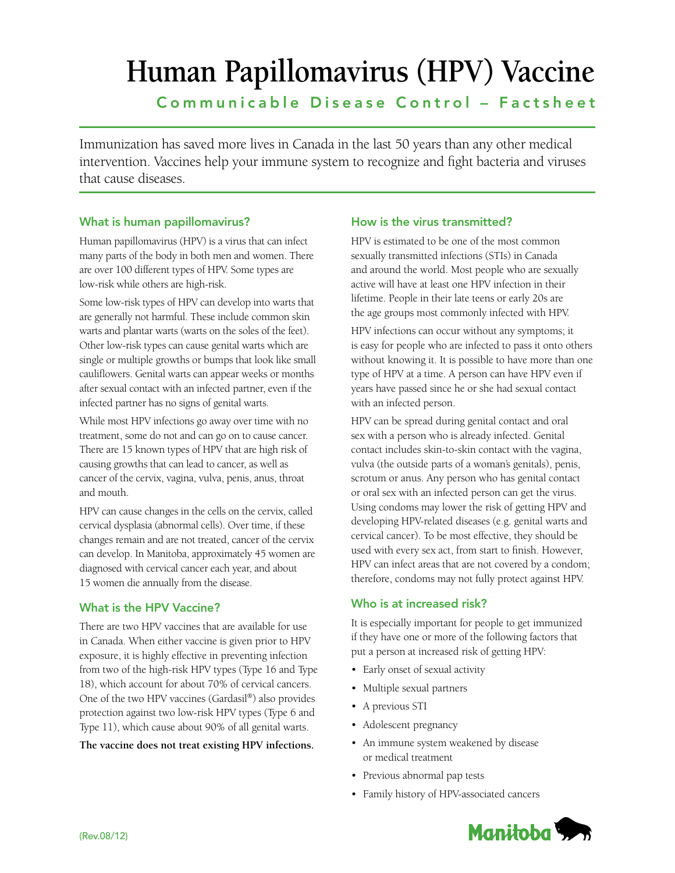# **Human Papillomavirus (HPV) Vaccine**

Communicable Disease Control – Factsheet

Immunization has saved more lives in Canada in the last 50 years than any other medical intervention. Vaccines help your immune system to recognize and fight bacteria and viruses that cause diseases.

# What is human papillomavirus?

Human papillomavirus (HPV) is a virus that can infect many parts of the body in both men and women. There are over 100 different types of HPV. Some types are low-risk while others are high-risk.

Some low-risk types of HPV can develop into warts that are generally not harmful. These include common skin warts and plantar warts (warts on the soles of the feet). Other low-risk types can cause genital warts which are single or multiple growths or bumps that look like small cauliflowers. Genital warts can appear weeks or months after sexual contact with an infected partner, even if the infected partner has no signs of genital warts.

While most HPV infections go away over time with no treatment, some do not and can go on to cause cancer. There are 15 known types of HPV that are high risk of causing growths that can lead to cancer, as well as cancer of the cervix, vagina, vulva, penis, anus, throat and mouth.

HPV can cause changes in the cells on the cervix, called cervical dysplasia (abnormal cells). Over time, if these changes remain and are not treated, cancer of the cervix can develop. In Manitoba, approximately 45 women are diagnosed with cervical cancer each year, and about 15 women die annually from the disease.

# What is the HPV Vaccine?

There are two HPV vaccines that are available for use in Canada. When either vaccine is given prior to HPV exposure, it is highly effective in preventing infection from two of the high-risk HPV types (Type 16 and Type 18), which account for about 70% of cervical cancers. One of the two HPV vaccines (Gardasil®) also provides protection against two low-risk HPV types (Type 6 and Type 11), which cause about 90% of all genital warts.

**The vaccine does not treat existing HPV infections.**

# How is the virus transmitted?

HPV is estimated to be one of the most common sexually transmitted infections (STIs) in Canada and around the world. Most people who are sexually active will have at least one HPV infection in their lifetime. People in their late teens or early 20s are the age groups most commonly infected with HPV.

HPV infections can occur without any symptoms; it is easy for people who are infected to pass it onto others without knowing it. It is possible to have more than one type of HPV at a time. A person can have HPV even if years have passed since he or she had sexual contact with an infected person.

HPV can be spread during genital contact and oral sex with a person who is already infected. Genital contact includes skin-to-skin contact with the vagina, vulva (the outside parts of a woman's genitals), penis, scrotum or anus. Any person who has genital contact or oral sex with an infected person can get the virus. Using condoms may lower the risk of getting HPV and developing HPV-related diseases (e.g. genital warts and cervical cancer). To be most effective, they should be used with every sex act, from start to finish. However, HPV can infect areas that are not covered by a condom; therefore, condoms may not fully protect against HPV.

# Who is at increased risk?

It is especially important for people to get immunized if they have one or more of the following factors that put a person at increased risk of getting HPV:

- • Early onset of sexual activity
- • Multiple sexual partners
- A previous STI
- Adolescent pregnancy
- • An immune system weakened by disease or medical treatment
- • Previous abnormal pap tests
- • Family history of HPV-associated cancers